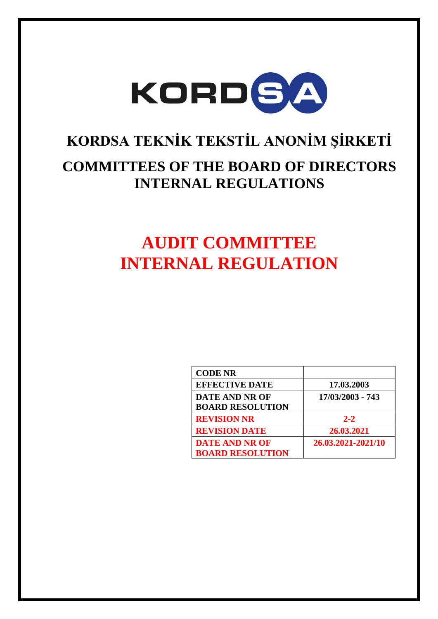

# **KORDSA TEKNİK TEKSTİL ANONİM ŞİRKETİ**

### **COMMITTEES OF THE BOARD OF DIRECTORS INTERNAL REGULATIONS**

## **AUDIT COMMITTEE INTERNAL REGULATION**

| <b>CODE NR</b>          |                    |
|-------------------------|--------------------|
| <b>EFFECTIVE DATE</b>   | 17.03.2003         |
| DATE AND NR OF          | 17/03/2003 - 743   |
| <b>BOARD RESOLUTION</b> |                    |
| <b>REVISION NR</b>      | $2 - 2$            |
| <b>REVISION DATE</b>    | 26.03.2021         |
| <b>DATE AND NR OF</b>   | 26.03.2021-2021/10 |
| <b>BOARD RESOLUTION</b> |                    |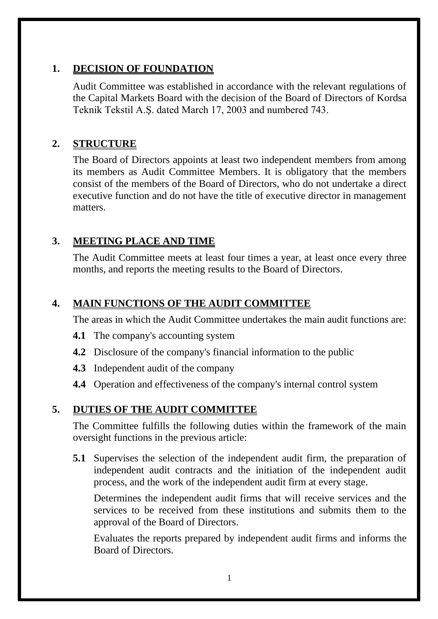### **1. DECISION OF FOUNDATION**

Audit Committee was established in accordance with the relevant regulations of the Capital Markets Board with the decision of the Board of Directors of Kordsa Teknik Tekstil A.Ş. dated March 17, 2003 and numbered 743.

### **2. STRUCTURE**

The Board of Directors appoints at least two independent members from among its members as Audit Committee Members. It is obligatory that the members consist of the members of the Board of Directors, who do not undertake a direct executive function and do not have the title of executive director in management matters.

### **3. MEETING PLACE AND TIME**

The Audit Committee meets at least four times a year, at least once every three months, and reports the meeting results to the Board of Directors.

#### **4. MAIN FUNCTIONS OF THE AUDIT COMMITTEE**

The areas in which the Audit Committee undertakes the main audit functions are:

- **4.1** The company's accounting system
- **4.2** Disclosure of the company's financial information to the public
- **4.3** Independent audit of the company
- **4.4** Operation and effectiveness of the company's internal control system

#### **5. DUTIES OF THE AUDIT COMMITTEE**

The Committee fulfills the following duties within the framework of the main oversight functions in the previous article:

**5.1** Supervises the selection of the independent audit firm, the preparation of independent audit contracts and the initiation of the independent audit process, and the work of the independent audit firm at every stage.

Determines the independent audit firms that will receive services and the services to be received from these institutions and submits them to the approval of the Board of Directors.

Evaluates the reports prepared by independent audit firms and informs the Board of Directors.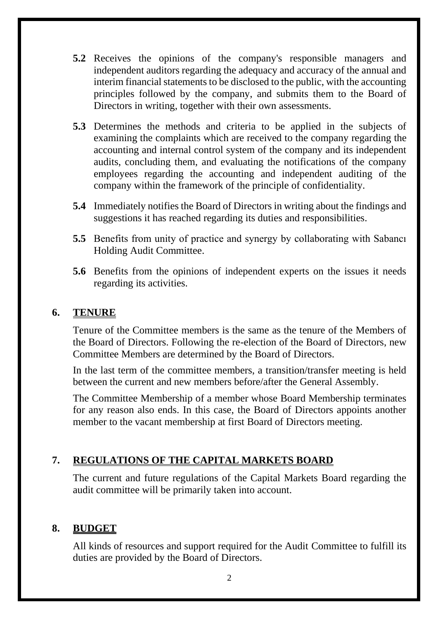- **5.2** Receives the opinions of the company's responsible managers and independent auditors regarding the adequacy and accuracy of the annual and interim financial statements to be disclosed to the public, with the accounting principles followed by the company, and submits them to the Board of Directors in writing, together with their own assessments.
- **5.3** Determines the methods and criteria to be applied in the subjects of examining the complaints which are received to the company regarding the accounting and internal control system of the company and its independent audits, concluding them, and evaluating the notifications of the company employees regarding the accounting and independent auditing of the company within the framework of the principle of confidentiality.
- **5.4** Immediately notifies the Board of Directors in writing about the findings and suggestions it has reached regarding its duties and responsibilities.
- **5.5** Benefits from unity of practice and synergy by collaborating with Sabancı Holding Audit Committee.
- **5.6** Benefits from the opinions of independent experts on the issues it needs regarding its activities.

#### **6. TENURE**

Tenure of the Committee members is the same as the tenure of the Members of the Board of Directors. Following the re-election of the Board of Directors, new Committee Members are determined by the Board of Directors.

In the last term of the committee members, a transition/transfer meeting is held between the current and new members before/after the General Assembly.

The Committee Membership of a member whose Board Membership terminates for any reason also ends. In this case, the Board of Directors appoints another member to the vacant membership at first Board of Directors meeting.

#### **7. REGULATIONS OF THE CAPITAL MARKETS BOARD**

The current and future regulations of the Capital Markets Board regarding the audit committee will be primarily taken into account.

#### **8. BUDGET**

All kinds of resources and support required for the Audit Committee to fulfill its duties are provided by the Board of Directors.